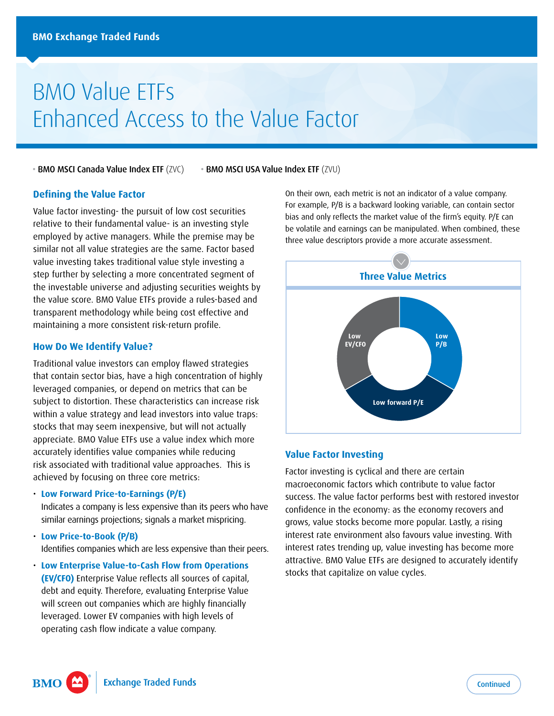# BMO Value ETFs Enhanced Access to the Value Factor

• BMO MSCI Canada Value Index ETF (ZVC) • BMO MSCI USA Value Index ETF (ZVU)

#### **Defining the Value Factor**

Value factor investing- the pursuit of low cost securities relative to their fundamental value- is an investing style employed by active managers. While the premise may be similar not all value strategies are the same. Factor based value investing takes traditional value style investing a step further by selecting a more concentrated segment of the investable universe and adjusting securities weights by the value score. BMO Value ETFs provide a rules-based and transparent methodology while being cost effective and maintaining a more consistent risk-return profile.

#### **How Do We Identify Value?**

Traditional value investors can employ flawed strategies that contain sector bias, have a high concentration of highly leveraged companies, or depend on metrics that can be subject to distortion. These characteristics can increase risk within a value strategy and lead investors into value traps: stocks that may seem inexpensive, but will not actually appreciate. BMO Value ETFs use a value index which more accurately identifies value companies while reducing risk associated with traditional value approaches. This is achieved by focusing on three core metrics:

#### • **Low Forward Price-to-Earnings (P/E)**

Indicates a company is less expensive than its peers who have similar earnings projections; signals a market mispricing.

- **Low Price-to-Book (P/B)**  Identifies companies which are less expensive than their peers.
- **Low Enterprise Value-to-Cash Flow from Operations (EV/CFO)** Enterprise Value reflects all sources of capital, debt and equity. Therefore, evaluating Enterprise Value will screen out companies which are highly financially leveraged. Lower EV companies with high levels of operating cash flow indicate a value company.

On their own, each metric is not an indicator of a value company. For example, P/B is a backward looking variable, can contain sector bias and only reflects the market value of the firm's equity. P/E can be volatile and earnings can be manipulated. When combined, these three value descriptors provide a more accurate assessment.



#### **Value Factor Investing**

Factor investing is cyclical and there are certain macroeconomic factors which contribute to value factor success. The value factor performs best with restored investor confidence in the economy: as the economy recovers and grows, value stocks become more popular. Lastly, a rising interest rate environment also favours value investing. With interest rates trending up, value investing has become more attractive. BMO Value ETFs are designed to accurately identify stocks that capitalize on value cycles.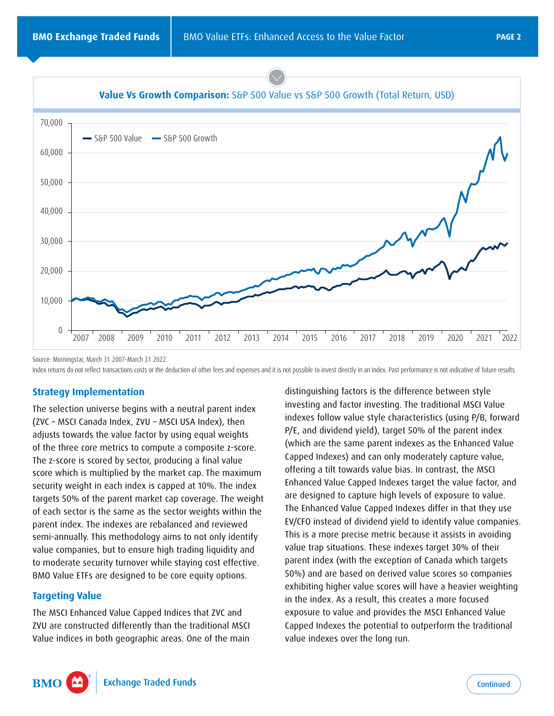



Source: Morningstar, March 31 2007–March 31 2022. Index returns do not reflect transactions costs or the deduction of other fees and expenses and it is not possible to invest directly in an Index. Past performance is not indicative of future results.

#### **Strategy Implementation**

The selection universe begins with a neutral parent index (ZVC – MSCI Canada Index, ZVU – MSCI USA Index), then adjusts towards the value factor by using equal weights of the three core metrics to compute a composite z-score. The z-score is scored by sector, producing a final value score which is multiplied by the market cap. The maximum security weight in each index is capped at 10%. The index targets 50% of the parent market cap coverage. The weight of each sector is the same as the sector weights within the parent index. The indexes are rebalanced and reviewed semi-annually. This methodology aims to not only identify value companies, but to ensure high trading liquidity and to moderate security turnover while staying cost effective. BMO Value ETFs are designed to be core equity options.

### **Targeting Value**

The MSCI Enhanced Value Capped Indices that ZVC and ZVU are constructed differently than the traditional MSCI Value indices in both geographic areas. One of the main

distinguishing factors is the difference between style investing and factor investing. The traditional MSCI Value indexes follow value style characteristics (using P/B, forward P/E, and dividend yield), target 50% of the parent index (which are the same parent indexes as the Enhanced Value Capped Indexes) and can only moderately capture value, offering a tilt towards value bias. In contrast, the MSCI Enhanced Value Capped Indexes target the value factor, and are designed to capture high levels of exposure to value. The Enhanced Value Capped Indexes differ in that they use EV/CFO instead of dividend yield to identify value companies. This is a more precise metric because it assists in avoiding value trap situations. These indexes target 30% of their parent index (with the exception of Canada which targets 50%) and are based on derived value scores so companies exhibiting higher value scores will have a heavier weighting in the index. As a result, this creates a more focused exposure to value and provides the MSCI Enhanced Value Capped Indexes the potential to outperform the traditional value indexes over the long run.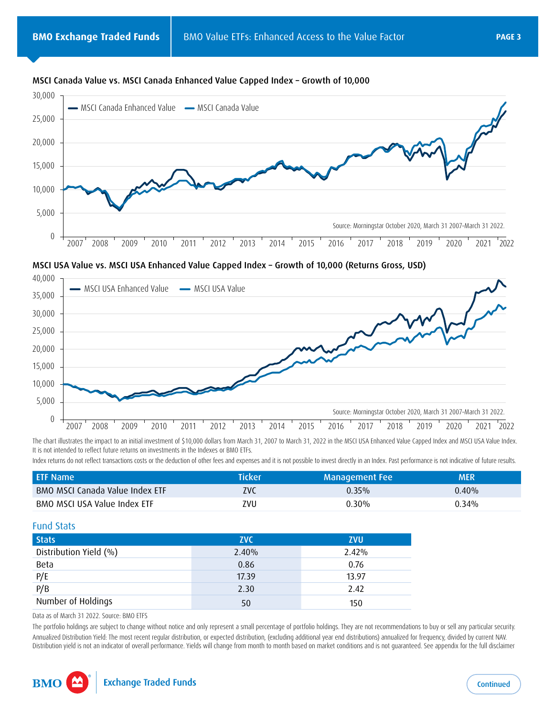

#### MSCI Canada Value vs. MSCI Canada Enhanced Value Capped Index – Growth of 10,000

MSCI USA Value vs. MSCI USA Enhanced Value Capped Index – Growth of 10,000 (Returns Gross, USD)



The chart illustrates the impact to an initial investment of \$10,000 dollars from March 31, 2007 to March 31, 2022 in the MSCI USA Enhanced Value Capped Index and MSCI USA Value Index. It is not intended to reflect future returns on investments in the Indexes or BMO ETFs.

Index returns do not reflect transactions costs or the deduction of other fees and expenses and it is not possible to invest directly in an Index. Past performance is not indicative of future results.

| <b>ETF Name</b>                 | <b>Ticker</b> | Management Fee | MER      |  |
|---------------------------------|---------------|----------------|----------|--|
| BMO MSCI Canada Value Index ETF | ZVC           | $0.35\%$       | $0.40\%$ |  |
| BMO MSCI USA Value Index ETF    | zvu           | 0.30%          | 0.34%    |  |

#### Fund Stats

| <b>Stats</b>                                        | <b>ZVC</b> | <b>ZVU</b> |
|-----------------------------------------------------|------------|------------|
| Distribution Yield (%)                              | 2.40%      | 2.42%      |
|                                                     | 0.86       | 0.76       |
|                                                     | 17.39      | 13.97      |
| $\frac{\text{Beta}}{\frac{\text{P/E}}{\text{P/B}}}$ | 2.30       | 2.42       |
| Number of Holdings                                  | 50         | 150        |

Data as of March 31 2022. Source: BMO ETFS

The portfolio holdings are subject to change without notice and only represent a small percentage of portfolio holdings. They are not recommendations to buy or sell any particular security. Annualized Distribution Yield: The most recent regular distribution, or expected distribution, (excluding additional year end distributions) annualized for frequency, divided by current NAV. Distribution yield is not an indicator of overall performance. Yields will change from month to month based on market conditions and is not guaranteed. See appendix for the full disclaimer